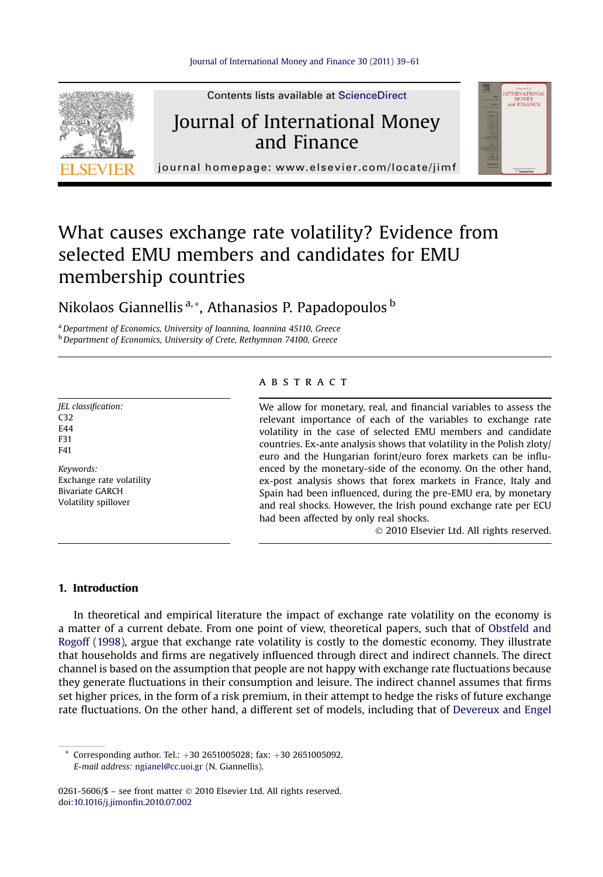

**Contents lists available at ScienceDirect** 

## Journal of International Money and Finance



journal homepage:<www.elsevier.com/locate/jimf>

# What causes exchange rate volatility? Evidence from selected EMU members and candidates for EMU membership countries

### Nikolaos Giannellis<sup>a,\*</sup>, Athanasios P. Papadopoulos  $<sup>b</sup>$ </sup>

<sup>a</sup> Department of Economics, University of Ioannina, Ioannina 45110, Greece b Department of Economics, University of Crete, Rethymnon 74100, Greece

JEL classification: C32 E<sub>44</sub> F31 F41 Keywords:

Exchange rate volatility Bivariate GARCH Volatility spillover

#### **ABSTRACT**

We allow for monetary, real, and financial variables to assess the relevant importance of each of the variables to exchange rate volatility in the case of selected EMU members and candidate countries. Ex-ante analysis shows that volatility in the Polish zloty/ euro and the Hungarian forint/euro forex markets can be influenced by the monetary-side of the economy. On the other hand, ex-post analysis shows that forex markets in France, Italy and Spain had been influenced, during the pre-EMU era, by monetary and real shocks. However, the Irish pound exchange rate per ECU had been affected by only real shocks.

2010 Elsevier Ltd. All rights reserved.

#### 1. Introduction

In theoretical and empirical literature the impact of exchange rate volatility on the economy is a matter of a current debate. From one point of view, theoretical papers, such that of [Obstfeld and](#page--1-0) [Rogoff \(1998\),](#page--1-0) argue that exchange rate volatility is costly to the domestic economy. They illustrate that households and firms are negatively influenced through direct and indirect channels. The direct channel is based on the assumption that people are not happy with exchange rate fluctuations because they generate fluctuations in their consumption and leisure. The indirect channel assumes that firms set higher prices, in the form of a risk premium, in their attempt to hedge the risks of future exchange rate fluctuations. On the other hand, a different set of models, including that of [Devereux and Engel](#page--1-0)

Corresponding author. Tel.:  $+30$  2651005028; fax:  $+30$  2651005092. E-mail address: [ngianel@cc.uoi.gr](mailto:ngianel@cc.uoi.gr) (N. Giannellis).

0261-5606/\$ - see front matter © 2010 Elsevier Ltd. All rights reserved. doi[:10.1016/j.jimon](http://dx.doi.org/10.1016/j.jimonfin.2010.07.002)fin.2010.07.002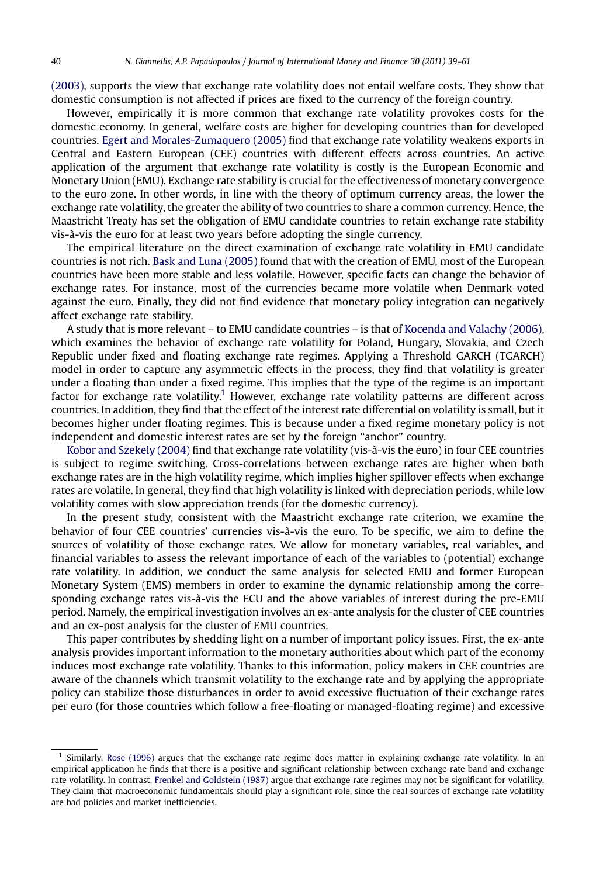[\(2003\)](#page--1-0), supports the view that exchange rate volatility does not entail welfare costs. They show that domestic consumption is not affected if prices are fixed to the currency of the foreign country.

However, empirically it is more common that exchange rate volatility provokes costs for the domestic economy. In general, welfare costs are higher for developing countries than for developed countries. [Egert and Morales-Zumaquero \(2005\)](#page--1-0) find that exchange rate volatility weakens exports in Central and Eastern European (CEE) countries with different effects across countries. An active application of the argument that exchange rate volatility is costly is the European Economic and Monetary Union (EMU). Exchange rate stability is crucial for the effectiveness of monetary convergence to the euro zone. In other words, in line with the theory of optimum currency areas, the lower the exchange rate volatility, the greater the ability of two countries to share a common currency. Hence, the Maastricht Treaty has set the obligation of EMU candidate countries to retain exchange rate stability vis-à-vis the euro for at least two years before adopting the single currency.

The empirical literature on the direct examination of exchange rate volatility in EMU candidate countries is not rich. [Bask and Luna \(2005\)](#page--1-0) found that with the creation of EMU, most of the European countries have been more stable and less volatile. However, specific facts can change the behavior of exchange rates. For instance, most of the currencies became more volatile when Denmark voted against the euro. Finally, they did not find evidence that monetary policy integration can negatively affect exchange rate stability.

A study that is more relevant – to EMU candidate countries – is that of [Kocenda and Valachy \(2006\),](#page--1-0) which examines the behavior of exchange rate volatility for Poland, Hungary, Slovakia, and Czech Republic under fixed and floating exchange rate regimes. Applying a Threshold GARCH (TGARCH) model in order to capture any asymmetric effects in the process, they find that volatility is greater under a floating than under a fixed regime. This implies that the type of the regime is an important factor for exchange rate volatility.<sup>1</sup> However, exchange rate volatility patterns are different across countries. In addition, they find that the effect of the interest rate differential on volatility is small, but it becomes higher under floating regimes. This is because under a fixed regime monetary policy is not independent and domestic interest rates are set by the foreign "anchor" country.

[Kobor and Szekely \(2004\)](#page--1-0) find that exchange rate volatility (vis-à-vis the euro) in four CEE countries is subject to regime switching. Cross-correlations between exchange rates are higher when both exchange rates are in the high volatility regime, which implies higher spillover effects when exchange rates are volatile. In general, they find that high volatility is linked with depreciation periods, while low volatility comes with slow appreciation trends (for the domestic currency).

In the present study, consistent with the Maastricht exchange rate criterion, we examine the behavior of four CEE countries' currencies vis-à-vis the euro. To be specific, we aim to define the sources of volatility of those exchange rates. We allow for monetary variables, real variables, and financial variables to assess the relevant importance of each of the variables to (potential) exchange rate volatility. In addition, we conduct the same analysis for selected EMU and former European Monetary System (EMS) members in order to examine the dynamic relationship among the corresponding exchange rates vis-à-vis the ECU and the above variables of interest during the pre-EMU period. Namely, the empirical investigation involves an ex-ante analysis for the cluster of CEE countries and an ex-post analysis for the cluster of EMU countries.

This paper contributes by shedding light on a number of important policy issues. First, the ex-ante analysis provides important information to the monetary authorities about which part of the economy induces most exchange rate volatility. Thanks to this information, policy makers in CEE countries are aware of the channels which transmit volatility to the exchange rate and by applying the appropriate policy can stabilize those disturbances in order to avoid excessive fluctuation of their exchange rates per euro (for those countries which follow a free-floating or managed-floating regime) and excessive

 $<sup>1</sup>$  Similarly, [Rose \(1996\)](#page--1-0) argues that the exchange rate regime does matter in explaining exchange rate volatility. In an</sup> empirical application he finds that there is a positive and significant relationship between exchange rate band and exchange rate volatility. In contrast, [Frenkel and Goldstein \(1987\)](#page--1-0) argue that exchange rate regimes may not be significant for volatility. They claim that macroeconomic fundamentals should play a significant role, since the real sources of exchange rate volatility are bad policies and market inefficiencies.